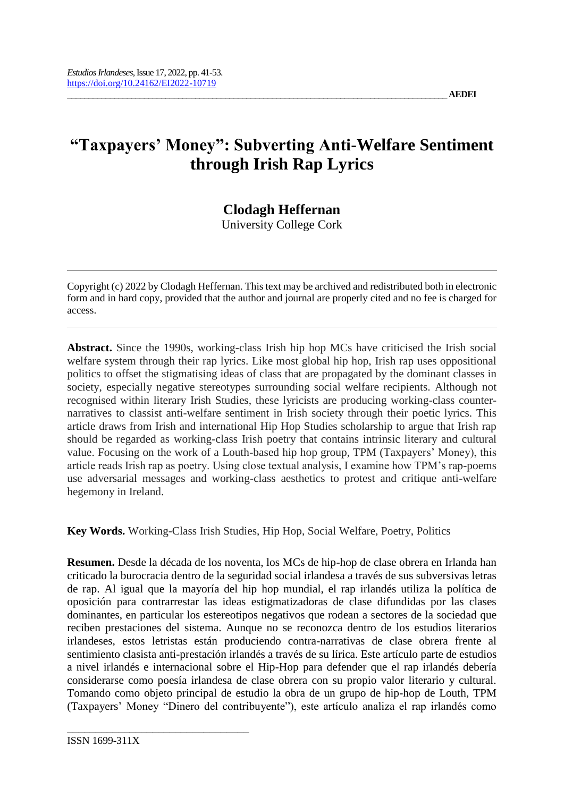# **"Taxpayers' Money": Subverting Anti-Welfare Sentiment through Irish Rap Lyrics**

# **Clodagh Heffernan**

University College Cork

Copyright (c) 2022 by Clodagh Heffernan. This text may be archived and redistributed both in electronic form and in hard copy, provided that the author and journal are properly cited and no fee is charged for access.

**Abstract.** Since the 1990s, working-class Irish hip hop MCs have criticised the Irish social welfare system through their rap lyrics. Like most global hip hop, Irish rap uses oppositional politics to offset the stigmatising ideas of class that are propagated by the dominant classes in society, especially negative stereotypes surrounding social welfare recipients. Although not recognised within literary Irish Studies, these lyricists are producing working-class counternarratives to classist anti-welfare sentiment in Irish society through their poetic lyrics. This article draws from Irish and international Hip Hop Studies scholarship to argue that Irish rap should be regarded as working-class Irish poetry that contains intrinsic literary and cultural value. Focusing on the work of a Louth-based hip hop group, TPM (Taxpayers' Money), this article reads Irish rap as poetry. Using close textual analysis, I examine how TPM's rap-poems use adversarial messages and working-class aesthetics to protest and critique anti-welfare hegemony in Ireland.

**Key Words.** Working-Class Irish Studies, Hip Hop, Social Welfare, Poetry, Politics

**Resumen.** Desde la década de los noventa, los MCs de hip-hop de clase obrera en Irlanda han criticado la burocracia dentro de la seguridad social irlandesa a través de sus subversivas letras de rap. Al igual que la mayoría del hip hop mundial, el rap irlandés utiliza la política de oposición para contrarrestar las ideas estigmatizadoras de clase difundidas por las clases dominantes, en particular los estereotipos negativos que rodean a sectores de la sociedad que reciben prestaciones del sistema. Aunque no se reconozca dentro de los estudios literarios irlandeses, estos letristas están produciendo contra-narrativas de clase obrera frente al sentimiento clasista anti-prestación irlandés a través de su lírica. Este artículo parte de estudios a nivel irlandés e internacional sobre el Hip-Hop para defender que el rap irlandés debería considerarse como poesía irlandesa de clase obrera con su propio valor literario y cultural. Tomando como objeto principal de estudio la obra de un grupo de hip-hop de Louth, TPM (Taxpayers' Money "Dinero del contribuyente"), este artículo analiza el rap irlandés como

\_\_\_\_\_\_\_\_\_\_\_\_\_\_\_\_\_\_\_\_\_\_\_\_\_\_\_\_\_\_\_\_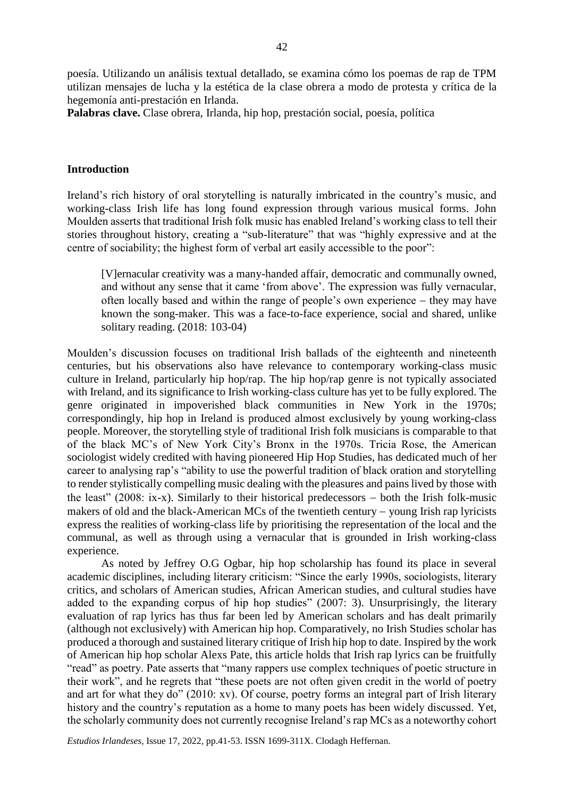poesía. Utilizando un análisis textual detallado, se examina cómo los poemas de rap de TPM utilizan mensajes de lucha y la estética de la clase obrera a modo de protesta y crítica de la hegemonía anti-prestación en Irlanda.

**Palabras clave.** Clase obrera, Irlanda, hip hop, prestación social, poesía, política

#### **Introduction**

Ireland's rich history of oral storytelling is naturally imbricated in the country's music, and working-class Irish life has long found expression through various musical forms. John Moulden asserts that traditional Irish folk music has enabled Ireland's working class to tell their stories throughout history, creating a "sub-literature" that was "highly expressive and at the centre of sociability; the highest form of verbal art easily accessible to the poor":

[V]ernacular creativity was a many-handed affair, democratic and communally owned, and without any sense that it came 'from above'. The expression was fully vernacular, often locally based and within the range of people's own experience they may have known the song-maker. This was a face-to-face experience, social and shared, unlike solitary reading. (2018: 103-04)

Moulden's discussion focuses on traditional Irish ballads of the eighteenth and nineteenth centuries, but his observations also have relevance to contemporary working-class music culture in Ireland, particularly hip hop/rap. The hip hop/rap genre is not typically associated with Ireland, and its significance to Irish working-class culture has yet to be fully explored. The genre originated in impoverished black communities in New York in the 1970s; correspondingly, hip hop in Ireland is produced almost exclusively by young working-class people. Moreover, the storytelling style of traditional Irish folk musicians is comparable to that of the black MC's of New York City's Bronx in the 1970s. Tricia Rose, the American sociologist widely credited with having pioneered Hip Hop Studies, has dedicated much of her career to analysing rap's "ability to use the powerful tradition of black oration and storytelling to render stylistically compelling music dealing with the pleasures and pains lived by those with the least" (2008: ix-x). Similarly to their historical predecessors  $-$  both the Irish folk-music makers of old and the black-American MCs of the twentieth century  $-$  young Irish rap lyricists express the realities of working-class life by prioritising the representation of the local and the communal, as well as through using a vernacular that is grounded in Irish working-class experience.

As noted by Jeffrey O.G Ogbar, hip hop scholarship has found its place in several academic disciplines, including literary criticism: "Since the early 1990s, sociologists, literary critics, and scholars of American studies, African American studies, and cultural studies have added to the expanding corpus of hip hop studies" (2007: 3). Unsurprisingly, the literary evaluation of rap lyrics has thus far been led by American scholars and has dealt primarily (although not exclusively) with American hip hop. Comparatively, no Irish Studies scholar has produced a thorough and sustained literary critique of Irish hip hop to date. Inspired by the work of American hip hop scholar Alexs Pate, this article holds that Irish rap lyrics can be fruitfully "read" as poetry. Pate asserts that "many rappers use complex techniques of poetic structure in their work", and he regrets that "these poets are not often given credit in the world of poetry and art for what they do" (2010: xv). Of course, poetry forms an integral part of Irish literary history and the country's reputation as a home to many poets has been widely discussed. Yet, the scholarly community does not currently recognise Ireland's rap MCs as a noteworthy cohort

*Estudios Irlandeses*, Issue 17, 2022, pp.41-53. ISSN 1699-311X. Clodagh Heffernan.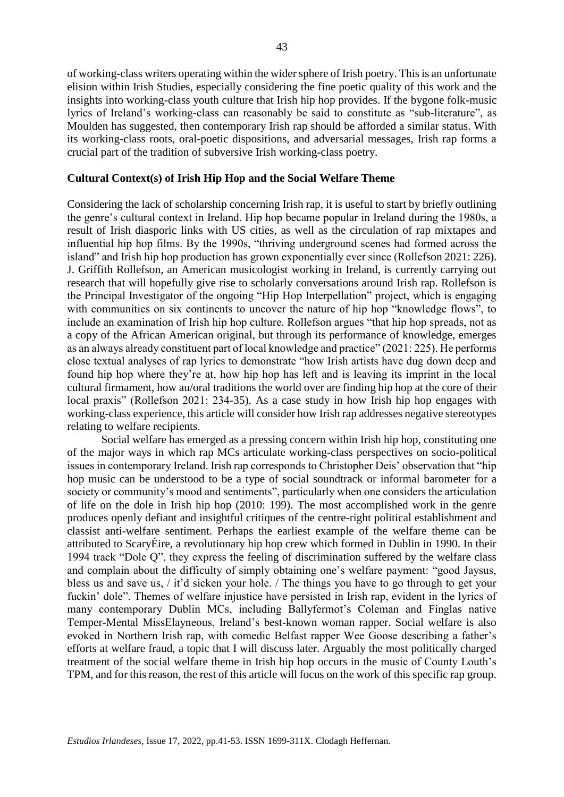of working-class writers operating within the wider sphere of Irish poetry. This is an unfortunate elision within Irish Studies, especially considering the fine poetic quality of this work and the insights into working-class youth culture that Irish hip hop provides. If the bygone folk-music lyrics of Ireland's working-class can reasonably be said to constitute as "sub-literature", as Moulden has suggested, then contemporary Irish rap should be afforded a similar status. With its working-class roots, oral-poetic dispositions, and adversarial messages, Irish rap forms a crucial part of the tradition of subversive Irish working-class poetry.

#### **Cultural Context(s) of Irish Hip Hop and the Social Welfare Theme**

Considering the lack of scholarship concerning Irish rap, it is useful to start by briefly outlining the genre's cultural context in Ireland. Hip hop became popular in Ireland during the 1980s, a result of Irish diasporic links with US cities, as well as the circulation of rap mixtapes and influential hip hop films. By the 1990s, "thriving underground scenes had formed across the island" and Irish hip hop production has grown exponentially ever since (Rollefson 2021: 226). J. Griffith Rollefson, an American musicologist working in Ireland, is currently carrying out research that will hopefully give rise to scholarly conversations around Irish rap. Rollefson is the Principal Investigator of the ongoing "Hip Hop Interpellation" project, which is engaging with communities on six continents to uncover the nature of hip hop "knowledge flows", to include an examination of Irish hip hop culture. Rollefson argues "that hip hop spreads, not as a copy of the African American original, but through its performance of knowledge, emerges as an always already constituent part of local knowledge and practice" (2021: 225). He performs close textual analyses of rap lyrics to demonstrate "how Irish artists have dug down deep and found hip hop where they're at, how hip hop has left and is leaving its imprint in the local cultural firmament, how au/oral traditions the world over are finding hip hop at the core of their local praxis" (Rollefson 2021: 234-35). As a case study in how Irish hip hop engages with working-class experience, this article will consider how Irish rap addresses negative stereotypes relating to welfare recipients.

Social welfare has emerged as a pressing concern within Irish hip hop, constituting one of the major ways in which rap MCs articulate working-class perspectives on socio-political issues in contemporary Ireland. Irish rap corresponds to Christopher Deis' observation that "hip hop music can be understood to be a type of social soundtrack or informal barometer for a society or community's mood and sentiments", particularly when one considers the articulation of life on the dole in Irish hip hop (2010: 199). The most accomplished work in the genre produces openly defiant and insightful critiques of the centre-right political establishment and classist anti-welfare sentiment. Perhaps the earliest example of the welfare theme can be attributed to ScaryÉire, a revolutionary hip hop crew which formed in Dublin in 1990. In their 1994 track "Dole Q", they express the feeling of discrimination suffered by the welfare class and complain about the difficulty of simply obtaining one's welfare payment: "good Jaysus, bless us and save us, / it'd sicken your hole. / The things you have to go through to get your fuckin' dole". Themes of welfare injustice have persisted in Irish rap, evident in the lyrics of many contemporary Dublin MCs, including Ballyfermot's Coleman and Finglas native Temper-Mental MissElayneous, Ireland's best-known woman rapper. Social welfare is also evoked in Northern Irish rap, with comedic Belfast rapper Wee Goose describing a father's efforts at welfare fraud, a topic that I will discuss later. Arguably the most politically charged treatment of the social welfare theme in Irish hip hop occurs in the music of County Louth's TPM, and for this reason, the rest of this article will focus on the work of this specific rap group.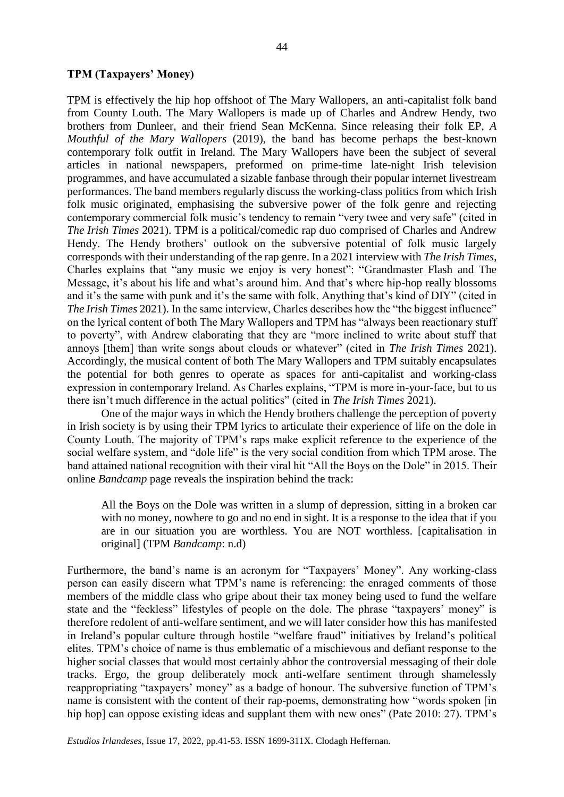#### **TPM (Taxpayers' Money)**

TPM is effectively the hip hop offshoot of The Mary Wallopers, an anti-capitalist folk band from County Louth. The Mary Wallopers is made up of Charles and Andrew Hendy, two brothers from Dunleer, and their friend Sean McKenna. Since releasing their folk EP, *A Mouthful of the Mary Wallopers* (2019), the band has become perhaps the best-known contemporary folk outfit in Ireland. The Mary Wallopers have been the subject of several articles in national newspapers, preformed on prime-time late-night Irish television programmes, and have accumulated a sizable fanbase through their popular internet livestream performances. The band members regularly discuss the working-class politics from which Irish folk music originated, emphasising the subversive power of the folk genre and rejecting contemporary commercial folk music's tendency to remain "very twee and very safe" (cited in *The Irish Times* 2021). TPM is a political/comedic rap duo comprised of Charles and Andrew Hendy. The Hendy brothers' outlook on the subversive potential of folk music largely corresponds with their understanding of the rap genre. In a 2021 interview with *The Irish Times*, Charles explains that "any music we enjoy is very honest": "Grandmaster Flash and The Message, it's about his life and what's around him. And that's where hip-hop really blossoms and it's the same with punk and it's the same with folk. Anything that's kind of DIY" (cited in *The Irish Times* 2021). In the same interview, Charles describes how the "the biggest influence" on the lyrical content of both The Mary Wallopers and TPM has "always been reactionary stuff to poverty", with Andrew elaborating that they are "more inclined to write about stuff that annoys [them] than write songs about clouds or whatever" (cited in *The Irish Times* 2021). Accordingly, the musical content of both The Mary Wallopers and TPM suitably encapsulates the potential for both genres to operate as spaces for anti-capitalist and working-class expression in contemporary Ireland. As Charles explains, "TPM is more in-your-face, but to us there isn't much difference in the actual politics" (cited in *The Irish Times* 2021).

One of the major ways in which the Hendy brothers challenge the perception of poverty in Irish society is by using their TPM lyrics to articulate their experience of life on the dole in County Louth. The majority of TPM's raps make explicit reference to the experience of the social welfare system, and "dole life" is the very social condition from which TPM arose. The band attained national recognition with their viral hit "All the Boys on the Dole" in 2015. Their online *Bandcamp* page reveals the inspiration behind the track:

All the Boys on the Dole was written in a slump of depression, sitting in a broken car with no money, nowhere to go and no end in sight. It is a response to the idea that if you are in our situation you are worthless. You are NOT worthless. [capitalisation in original] (TPM *Bandcamp*: n.d)

Furthermore, the band's name is an acronym for "Taxpayers' Money". Any working-class person can easily discern what TPM's name is referencing: the enraged comments of those members of the middle class who gripe about their tax money being used to fund the welfare state and the "feckless" lifestyles of people on the dole. The phrase "taxpayers' money" is therefore redolent of anti-welfare sentiment, and we will later consider how this has manifested in Ireland's popular culture through hostile "welfare fraud" initiatives by Ireland's political elites. TPM's choice of name is thus emblematic of a mischievous and defiant response to the higher social classes that would most certainly abhor the controversial messaging of their dole tracks. Ergo, the group deliberately mock anti-welfare sentiment through shamelessly reappropriating "taxpayers' money" as a badge of honour. The subversive function of TPM's name is consistent with the content of their rap-poems, demonstrating how "words spoken [in hip hop] can oppose existing ideas and supplant them with new ones" (Pate 2010: 27). TPM's

*Estudios Irlandeses*, Issue 17, 2022, pp.41-53. ISSN 1699-311X. Clodagh Heffernan.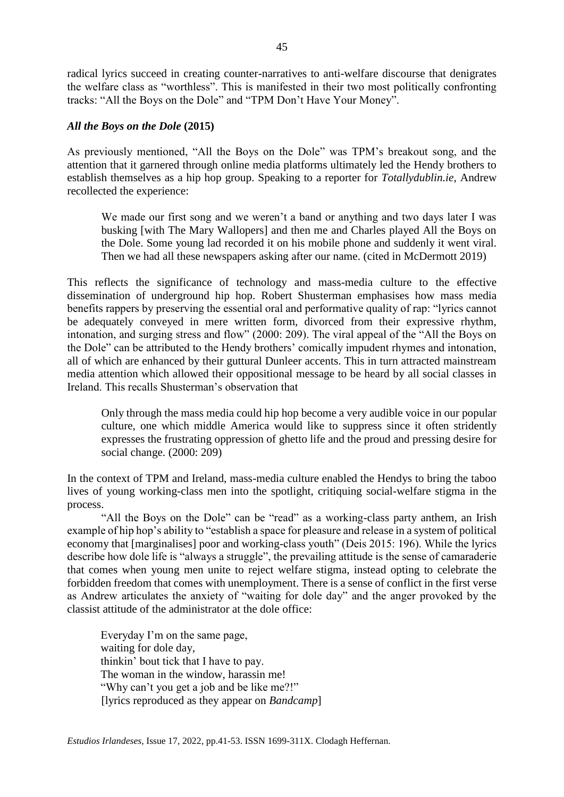radical lyrics succeed in creating counter-narratives to anti-welfare discourse that denigrates the welfare class as "worthless". This is manifested in their two most politically confronting tracks: "All the Boys on the Dole" and "TPM Don't Have Your Money".

# *All the Boys on the Dole* **(2015)**

As previously mentioned, "All the Boys on the Dole" was TPM's breakout song, and the attention that it garnered through online media platforms ultimately led the Hendy brothers to establish themselves as a hip hop group. Speaking to a reporter for *Totallydublin.ie*, Andrew recollected the experience:

We made our first song and we weren't a band or anything and two days later I was busking [with The Mary Wallopers] and then me and Charles played All the Boys on the Dole. Some young lad recorded it on his mobile phone and suddenly it went viral. Then we had all these newspapers asking after our name. (cited in McDermott 2019)

This reflects the significance of technology and mass-media culture to the effective dissemination of underground hip hop. Robert Shusterman emphasises how mass media benefits rappers by preserving the essential oral and performative quality of rap: "lyrics cannot be adequately conveyed in mere written form, divorced from their expressive rhythm, intonation, and surging stress and flow" (2000: 209). The viral appeal of the "All the Boys on the Dole" can be attributed to the Hendy brothers' comically impudent rhymes and intonation, all of which are enhanced by their guttural Dunleer accents. This in turn attracted mainstream media attention which allowed their oppositional message to be heard by all social classes in Ireland. This recalls Shusterman's observation that

Only through the mass media could hip hop become a very audible voice in our popular culture, one which middle America would like to suppress since it often stridently expresses the frustrating oppression of ghetto life and the proud and pressing desire for social change. (2000: 209)

In the context of TPM and Ireland, mass-media culture enabled the Hendys to bring the taboo lives of young working-class men into the spotlight, critiquing social-welfare stigma in the process.

"All the Boys on the Dole" can be "read" as a working-class party anthem, an Irish example of hip hop's ability to "establish a space for pleasure and release in a system of political economy that [marginalises] poor and working-class youth" (Deis 2015: 196). While the lyrics describe how dole life is "always a struggle", the prevailing attitude is the sense of camaraderie that comes when young men unite to reject welfare stigma, instead opting to celebrate the forbidden freedom that comes with unemployment. There is a sense of conflict in the first verse as Andrew articulates the anxiety of "waiting for dole day" and the anger provoked by the classist attitude of the administrator at the dole office:

Everyday I'm on the same page, waiting for dole day, thinkin' bout tick that I have to pay. The woman in the window, harassin me! "Why can't you get a job and be like me?!" [lyrics reproduced as they appear on *Bandcamp*]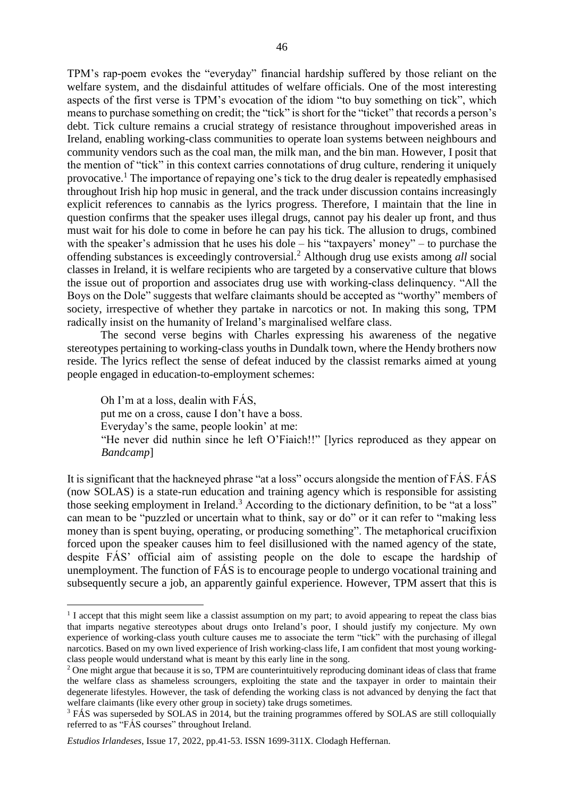TPM's rap-poem evokes the "everyday" financial hardship suffered by those reliant on the welfare system, and the disdainful attitudes of welfare officials. One of the most interesting aspects of the first verse is TPM's evocation of the idiom "to buy something on tick", which means to purchase something on credit; the "tick" is short for the "ticket" that records a person's debt. Tick culture remains a crucial strategy of resistance throughout impoverished areas in Ireland, enabling working-class communities to operate loan systems between neighbours and community vendors such as the coal man, the milk man, and the bin man. However, I posit that the mention of "tick" in this context carries connotations of drug culture, rendering it uniquely provocative.<sup>1</sup> The importance of repaying one's tick to the drug dealer is repeatedly emphasised throughout Irish hip hop music in general, and the track under discussion contains increasingly explicit references to cannabis as the lyrics progress. Therefore, I maintain that the line in question confirms that the speaker uses illegal drugs, cannot pay his dealer up front, and thus must wait for his dole to come in before he can pay his tick. The allusion to drugs, combined with the speaker's admission that he uses his dole – his "taxpayers' money" – to purchase the offending substances is exceedingly controversial.<sup>2</sup> Although drug use exists among *all* social classes in Ireland, it is welfare recipients who are targeted by a conservative culture that blows the issue out of proportion and associates drug use with working-class delinquency. "All the Boys on the Dole" suggests that welfare claimants should be accepted as "worthy" members of society, irrespective of whether they partake in narcotics or not. In making this song, TPM radically insist on the humanity of Ireland's marginalised welfare class.

The second verse begins with Charles expressing his awareness of the negative stereotypes pertaining to working-class youths in Dundalk town, where the Hendy brothers now reside. The lyrics reflect the sense of defeat induced by the classist remarks aimed at young people engaged in education-to-employment schemes:

Oh I'm at a loss, dealin with FÁS, put me on a cross, cause I don't have a boss.

 $\overline{a}$ 

Everyday's the same, people lookin' at me:

"He never did nuthin since he left O'Fiaich!!" [lyrics reproduced as they appear on *Bandcamp*]

It is significant that the hackneyed phrase "at a loss" occurs alongside the mention of FÁS. FÁS (now SOLAS) is a state-run education and training agency which is responsible for assisting those seeking employment in Ireland.<sup>3</sup> According to the dictionary definition, to be "at a loss" can mean to be "puzzled or uncertain what to think, say or do" or it can refer to "making less money than is spent buying, operating, or producing something". The metaphorical crucifixion forced upon the speaker causes him to feel disillusioned with the named agency of the state, despite FÁS' official aim of assisting people on the dole to escape the hardship of unemployment. The function of FÁS is to encourage people to undergo vocational training and subsequently secure a job, an apparently gainful experience. However, TPM assert that this is

<sup>&</sup>lt;sup>1</sup> I accept that this might seem like a classist assumption on my part; to avoid appearing to repeat the class bias that imparts negative stereotypes about drugs onto Ireland's poor, I should justify my conjecture. My own experience of working-class youth culture causes me to associate the term "tick" with the purchasing of illegal narcotics. Based on my own lived experience of Irish working-class life, I am confident that most young workingclass people would understand what is meant by this early line in the song.

<sup>&</sup>lt;sup>2</sup> One might argue that because it is so, TPM are counterintuitively reproducing dominant ideas of class that frame the welfare class as shameless scroungers, exploiting the state and the taxpayer in order to maintain their degenerate lifestyles. However, the task of defending the working class is not advanced by denying the fact that welfare claimants (like every other group in society) take drugs sometimes.

<sup>&</sup>lt;sup>3</sup> FÁS was superseded by SOLAS in 2014, but the training programmes offered by SOLAS are still colloquially referred to as "FÁS courses" throughout Ireland.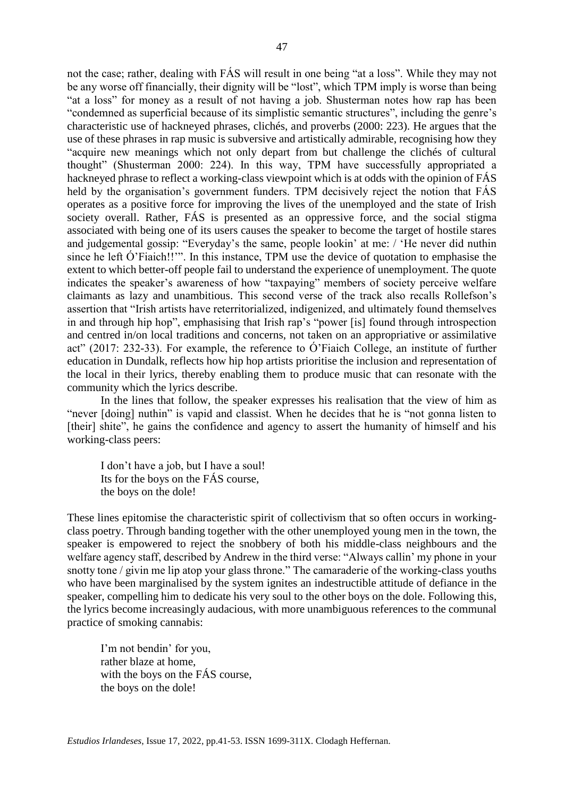not the case; rather, dealing with FÁS will result in one being "at a loss". While they may not be any worse off financially, their dignity will be "lost", which TPM imply is worse than being "at a loss" for money as a result of not having a job. Shusterman notes how rap has been "condemned as superficial because of its simplistic semantic structures", including the genre's characteristic use of hackneyed phrases, clichés, and proverbs (2000: 223). He argues that the use of these phrases in rap music is subversive and artistically admirable, recognising how they "acquire new meanings which not only depart from but challenge the clichés of cultural thought" (Shusterman 2000: 224). In this way, TPM have successfully appropriated a hackneyed phrase to reflect a working-class viewpoint which is at odds with the opinion of FÁS held by the organisation's government funders. TPM decisively reject the notion that FÁS operates as a positive force for improving the lives of the unemployed and the state of Irish society overall. Rather, FÁS is presented as an oppressive force, and the social stigma associated with being one of its users causes the speaker to become the target of hostile stares and judgemental gossip: "Everyday's the same, people lookin' at me: / 'He never did nuthin since he left Ó'Fiaich!!'". In this instance, TPM use the device of quotation to emphasise the extent to which better-off people fail to understand the experience of unemployment. The quote indicates the speaker's awareness of how "taxpaying" members of society perceive welfare claimants as lazy and unambitious. This second verse of the track also recalls Rollefson's assertion that "Irish artists have reterritorialized, indigenized, and ultimately found themselves in and through hip hop", emphasising that Irish rap's "power [is] found through introspection and centred in/on local traditions and concerns, not taken on an appropriative or assimilative act" (2017: 232-33). For example, the reference to  $\acute{O}$ 'Fiaich College, an institute of further education in Dundalk, reflects how hip hop artists prioritise the inclusion and representation of the local in their lyrics, thereby enabling them to produce music that can resonate with the community which the lyrics describe.

In the lines that follow, the speaker expresses his realisation that the view of him as "never [doing] nuthin" is vapid and classist. When he decides that he is "not gonna listen to [their] shite", he gains the confidence and agency to assert the humanity of himself and his working-class peers:

I don't have a job, but I have a soul! Its for the boys on the FÁS course, the boys on the dole!

These lines epitomise the characteristic spirit of collectivism that so often occurs in workingclass poetry. Through banding together with the other unemployed young men in the town, the speaker is empowered to reject the snobbery of both his middle-class neighbours and the welfare agency staff, described by Andrew in the third verse: "Always callin' my phone in your snotty tone / givin me lip atop your glass throne." The camaraderie of the working-class youths who have been marginalised by the system ignites an indestructible attitude of defiance in the speaker, compelling him to dedicate his very soul to the other boys on the dole. Following this, the lyrics become increasingly audacious, with more unambiguous references to the communal practice of smoking cannabis:

I'm not bendin' for you, rather blaze at home, with the boys on the FÁS course, the boys on the dole!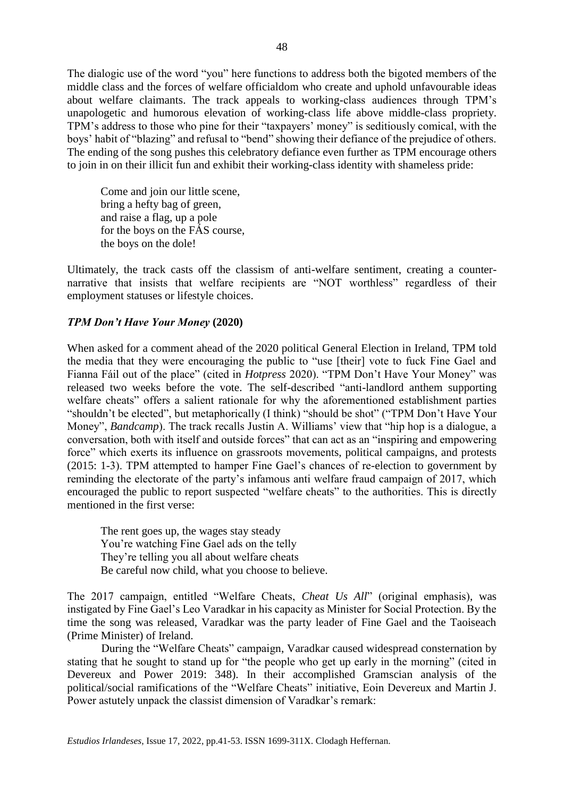The dialogic use of the word "you" here functions to address both the bigoted members of the middle class and the forces of welfare officialdom who create and uphold unfavourable ideas about welfare claimants. The track appeals to working-class audiences through TPM's unapologetic and humorous elevation of working-class life above middle-class propriety. TPM's address to those who pine for their "taxpayers' money" is seditiously comical, with the boys' habit of "blazing" and refusal to "bend" showing their defiance of the prejudice of others. The ending of the song pushes this celebratory defiance even further as TPM encourage others to join in on their illicit fun and exhibit their working-class identity with shameless pride:

Come and join our little scene, bring a hefty bag of green, and raise a flag, up a pole for the boys on the FÁS course, the boys on the dole!

Ultimately, the track casts off the classism of anti-welfare sentiment, creating a counternarrative that insists that welfare recipients are "NOT worthless" regardless of their employment statuses or lifestyle choices.

## *TPM Don't Have Your Money* **(2020)**

When asked for a comment ahead of the 2020 political General Election in Ireland, TPM told the media that they were encouraging the public to "use [their] vote to fuck Fine Gael and Fianna Fáil out of the place" (cited in *Hotpress* 2020). "TPM Don't Have Your Money" was released two weeks before the vote. The self-described "anti-landlord anthem supporting welfare cheats" offers a salient rationale for why the aforementioned establishment parties "shouldn't be elected", but metaphorically (I think) "should be shot" ("TPM Don't Have Your Money", *Bandcamp*). The track recalls Justin A. Williams' view that "hip hop is a dialogue, a conversation, both with itself and outside forces" that can act as an "inspiring and empowering force" which exerts its influence on grassroots movements, political campaigns, and protests (2015: 1-3). TPM attempted to hamper Fine Gael's chances of re-election to government by reminding the electorate of the party's infamous anti welfare fraud campaign of 2017, which encouraged the public to report suspected "welfare cheats" to the authorities. This is directly mentioned in the first verse:

The rent goes up, the wages stay steady You're watching Fine Gael ads on the telly They're telling you all about welfare cheats Be careful now child, what you choose to believe.

The 2017 campaign, entitled "Welfare Cheats, *Cheat Us All*" (original emphasis), was instigated by Fine Gael's Leo Varadkar in his capacity as Minister for Social Protection. By the time the song was released, Varadkar was the party leader of Fine Gael and the Taoiseach (Prime Minister) of Ireland.

During the "Welfare Cheats" campaign, Varadkar caused widespread consternation by stating that he sought to stand up for "the people who get up early in the morning" (cited in Devereux and Power 2019: 348). In their accomplished Gramscian analysis of the political/social ramifications of the "Welfare Cheats" initiative, Eoin Devereux and Martin J. Power astutely unpack the classist dimension of Varadkar's remark: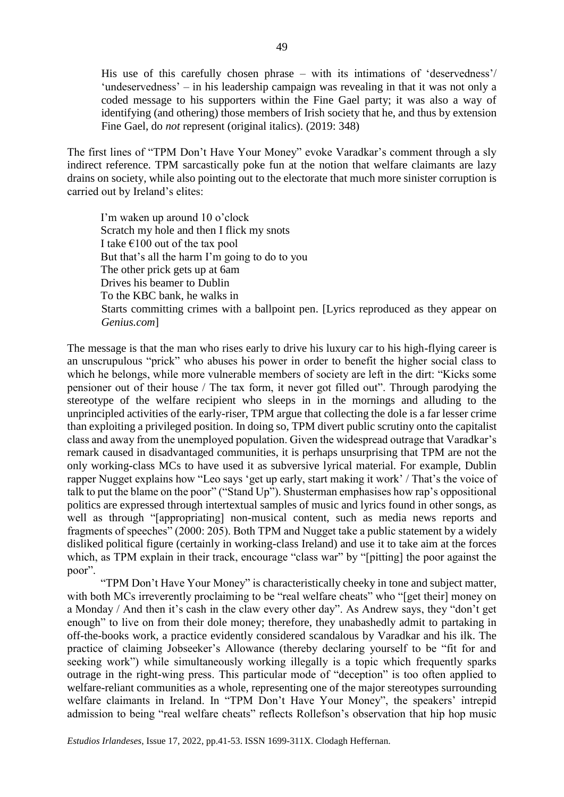His use of this carefully chosen phrase – with its intimations of 'deservedness'/ 'undeservedness' – in his leadership campaign was revealing in that it was not only a coded message to his supporters within the Fine Gael party; it was also a way of identifying (and othering) those members of Irish society that he, and thus by extension Fine Gael, do *not* represent (original italics). (2019: 348)

The first lines of "TPM Don't Have Your Money" evoke Varadkar's comment through a sly indirect reference. TPM sarcastically poke fun at the notion that welfare claimants are lazy drains on society, while also pointing out to the electorate that much more sinister corruption is carried out by Ireland's elites:

I'm waken up around 10 o'clock Scratch my hole and then I flick my snots I take  $\epsilon$ 100 out of the tax pool But that's all the harm I'm going to do to you The other prick gets up at 6am Drives his beamer to Dublin To the KBC bank, he walks in Starts committing crimes with a ballpoint pen. [Lyrics reproduced as they appear on *Genius.com*]

The message is that the man who rises early to drive his luxury car to his high-flying career is an unscrupulous "prick" who abuses his power in order to benefit the higher social class to which he belongs, while more vulnerable members of society are left in the dirt: "Kicks some pensioner out of their house / The tax form, it never got filled out". Through parodying the stereotype of the welfare recipient who sleeps in in the mornings and alluding to the unprincipled activities of the early-riser, TPM argue that collecting the dole is a far lesser crime than exploiting a privileged position. In doing so, TPM divert public scrutiny onto the capitalist class and away from the unemployed population. Given the widespread outrage that Varadkar's remark caused in disadvantaged communities, it is perhaps unsurprising that TPM are not the only working-class MCs to have used it as subversive lyrical material. For example, Dublin rapper Nugget explains how "Leo says 'get up early, start making it work' / That's the voice of talk to put the blame on the poor" ("Stand Up"). Shusterman emphasises how rap's oppositional politics are expressed through intertextual samples of music and lyrics found in other songs, as well as through "[appropriating] non-musical content, such as media news reports and fragments of speeches" (2000: 205). Both TPM and Nugget take a public statement by a widely disliked political figure (certainly in working-class Ireland) and use it to take aim at the forces which, as TPM explain in their track, encourage "class war" by "[pitting] the poor against the poor".

"TPM Don't Have Your Money" is characteristically cheeky in tone and subject matter, with both MCs irreverently proclaiming to be "real welfare cheats" who "[get their] money on a Monday / And then it's cash in the claw every other day". As Andrew says, they "don't get enough" to live on from their dole money; therefore, they unabashedly admit to partaking in off-the-books work, a practice evidently considered scandalous by Varadkar and his ilk. The practice of claiming Jobseeker's Allowance (thereby declaring yourself to be "fit for and seeking work") while simultaneously working illegally is a topic which frequently sparks outrage in the right-wing press. This particular mode of "deception" is too often applied to welfare-reliant communities as a whole, representing one of the major stereotypes surrounding welfare claimants in Ireland. In "TPM Don't Have Your Money", the speakers' intrepid admission to being "real welfare cheats" reflects Rollefson's observation that hip hop music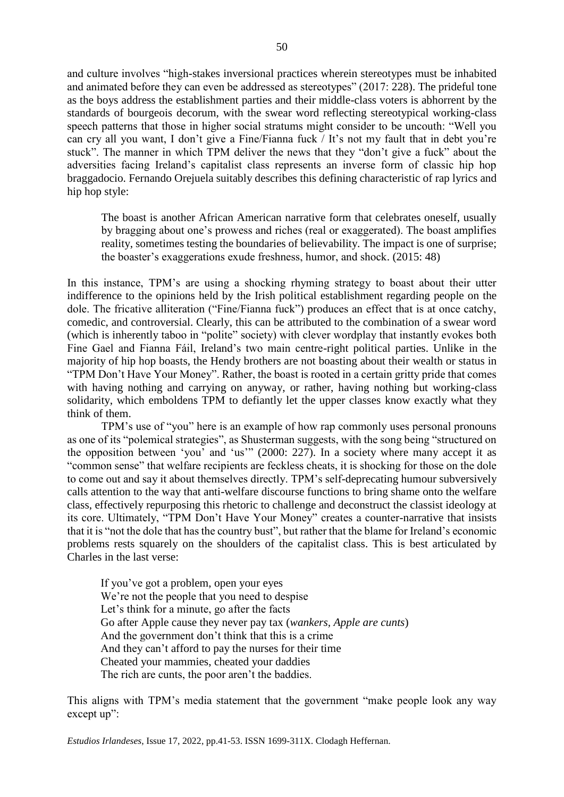and culture involves "high-stakes inversional practices wherein stereotypes must be inhabited and animated before they can even be addressed as stereotypes" (2017: 228). The prideful tone as the boys address the establishment parties and their middle-class voters is abhorrent by the standards of bourgeois decorum, with the swear word reflecting stereotypical working-class speech patterns that those in higher social stratums might consider to be uncouth: "Well you can cry all you want, I don't give a Fine/Fianna fuck / It's not my fault that in debt you're stuck". The manner in which TPM deliver the news that they "don't give a fuck" about the adversities facing Ireland's capitalist class represents an inverse form of classic hip hop braggadocio. Fernando Orejuela suitably describes this defining characteristic of rap lyrics and hip hop style:

The boast is another African American narrative form that celebrates oneself, usually by bragging about one's prowess and riches (real or exaggerated). The boast amplifies reality, sometimes testing the boundaries of believability. The impact is one of surprise; the boaster's exaggerations exude freshness, humor, and shock. (2015: 48)

In this instance, TPM's are using a shocking rhyming strategy to boast about their utter indifference to the opinions held by the Irish political establishment regarding people on the dole. The fricative alliteration ("Fine/Fianna fuck") produces an effect that is at once catchy, comedic, and controversial. Clearly, this can be attributed to the combination of a swear word (which is inherently taboo in "polite" society) with clever wordplay that instantly evokes both Fine Gael and Fianna Fáil, Ireland's two main centre-right political parties. Unlike in the majority of hip hop boasts, the Hendy brothers are not boasting about their wealth or status in "TPM Don't Have Your Money". Rather, the boast is rooted in a certain gritty pride that comes with having nothing and carrying on anyway, or rather, having nothing but working-class solidarity, which emboldens TPM to defiantly let the upper classes know exactly what they think of them.

TPM's use of "you" here is an example of how rap commonly uses personal pronouns as one of its "polemical strategies", as Shusterman suggests, with the song being "structured on the opposition between 'you' and 'us'" (2000: 227). In a society where many accept it as "common sense" that welfare recipients are feckless cheats, it is shocking for those on the dole to come out and say it about themselves directly. TPM's self-deprecating humour subversively calls attention to the way that anti-welfare discourse functions to bring shame onto the welfare class, effectively repurposing this rhetoric to challenge and deconstruct the classist ideology at its core. Ultimately, "TPM Don't Have Your Money" creates a counter-narrative that insists that it is "not the dole that has the country bust", but rather that the blame for Ireland's economic problems rests squarely on the shoulders of the capitalist class. This is best articulated by Charles in the last verse:

If you've got a problem, open your eyes We're not the people that you need to despise Let's think for a minute, go after the facts Go after Apple cause they never pay tax (*wankers, Apple are cunts*) And the government don't think that this is a crime And they can't afford to pay the nurses for their time Cheated your mammies, cheated your daddies The rich are cunts, the poor aren't the baddies.

This aligns with TPM's media statement that the government "make people look any way except up":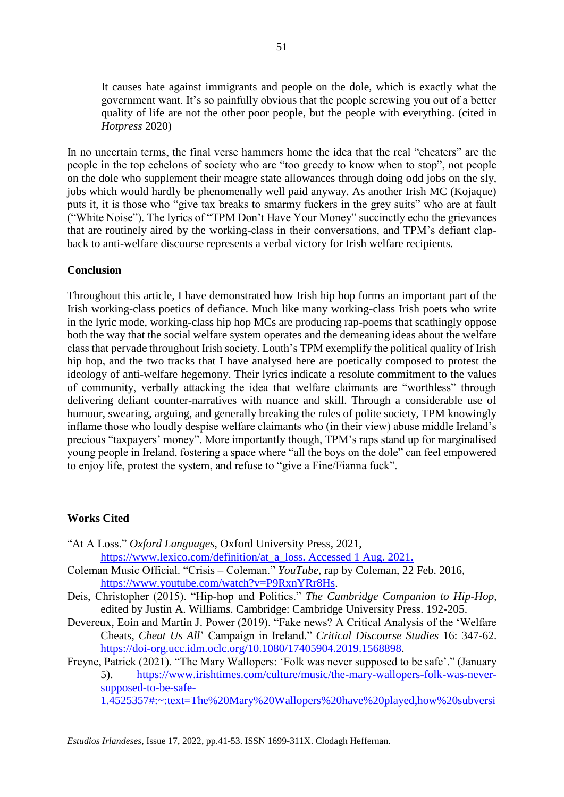It causes hate against immigrants and people on the dole, which is exactly what the government want. It's so painfully obvious that the people screwing you out of a better quality of life are not the other poor people, but the people with everything. (cited in *Hotpress* 2020)

In no uncertain terms, the final verse hammers home the idea that the real "cheaters" are the people in the top echelons of society who are "too greedy to know when to stop", not people on the dole who supplement their meagre state allowances through doing odd jobs on the sly, jobs which would hardly be phenomenally well paid anyway. As another Irish MC (Kojaque) puts it, it is those who "give tax breaks to smarmy fuckers in the grey suits" who are at fault ("White Noise"). The lyrics of "TPM Don't Have Your Money" succinctly echo the grievances that are routinely aired by the working-class in their conversations, and TPM's defiant clapback to anti-welfare discourse represents a verbal victory for Irish welfare recipients.

#### **Conclusion**

Throughout this article, I have demonstrated how Irish hip hop forms an important part of the Irish working-class poetics of defiance. Much like many working-class Irish poets who write in the lyric mode, working-class hip hop MCs are producing rap-poems that scathingly oppose both the way that the social welfare system operates and the demeaning ideas about the welfare class that pervade throughout Irish society. Louth's TPM exemplify the political quality of Irish hip hop, and the two tracks that I have analysed here are poetically composed to protest the ideology of anti-welfare hegemony. Their lyrics indicate a resolute commitment to the values of community, verbally attacking the idea that welfare claimants are "worthless" through delivering defiant counter-narratives with nuance and skill. Through a considerable use of humour, swearing, arguing, and generally breaking the rules of polite society, TPM knowingly inflame those who loudly despise welfare claimants who (in their view) abuse middle Ireland's precious "taxpayers' money". More importantly though, TPM's raps stand up for marginalised young people in Ireland, fostering a space where "all the boys on the dole" can feel empowered to enjoy life, protest the system, and refuse to "give a Fine/Fianna fuck".

## **Works Cited**

- "At A Loss." *Oxford Languages*, Oxford University Press, 2021, [https://www.lexico.com/definition/at\\_a\\_loss. Accessed 1 Aug. 2021.](https://www.lexico.com/definition/at_a_loss.%20Accessed%201%20Aug.%202021)
- Coleman Music Official. "Crisis Coleman." *YouTube*, rap by Coleman, 22 Feb. 2016, [https://www.youtube.com/watch?v=P9RxnYRr8Hs.](https://www.youtube.com/watch?v=P9RxnYRr8Hs)
- Deis, Christopher (2015). "Hip-hop and Politics." *The Cambridge Companion to Hip-Hop*, edited by Justin A. Williams. Cambridge: Cambridge University Press. 192-205.
- Devereux, Eoin and Martin J. Power (2019). "Fake news? A Critical Analysis of the 'Welfare Cheats, *Cheat Us All*' Campaign in Ireland." *Critical Discourse Studies* 16: 347-62. [https://doi-org.ucc.idm.oclc.org/10.1080/17405904.2019.1568898.](https://doi-org.ucc.idm.oclc.org/10.1080/17405904.2019.1568898)
- Freyne, Patrick (2021). "The Mary Wallopers: 'Folk was never supposed to be safe'." (January 5). [https://www.irishtimes.com/culture/music/the-mary-wallopers-folk-was-never](https://www.irishtimes.com/culture/music/the-mary-wallopers-folk-was-never-supposed-to-be-safe-1.4525357#:~:text=The%20Mary%20Wallopers%20have%20played,how%20subversive%20folk%20actually%20is.&text=%E2%80%9CFolk%20was%20never%20supposed%20to%20be%20safe%20music)[supposed-to-be-safe-](https://www.irishtimes.com/culture/music/the-mary-wallopers-folk-was-never-supposed-to-be-safe-1.4525357#:~:text=The%20Mary%20Wallopers%20have%20played,how%20subversive%20folk%20actually%20is.&text=%E2%80%9CFolk%20was%20never%20supposed%20to%20be%20safe%20music)

[1.4525357#:~:text=The%20Mary%20Wallopers%20have%20played,how%20subversi](https://www.irishtimes.com/culture/music/the-mary-wallopers-folk-was-never-supposed-to-be-safe-1.4525357#:~:text=The%20Mary%20Wallopers%20have%20played,how%20subversive%20folk%20actually%20is.&text=%E2%80%9CFolk%20was%20never%20supposed%20to%20be%20safe%20music)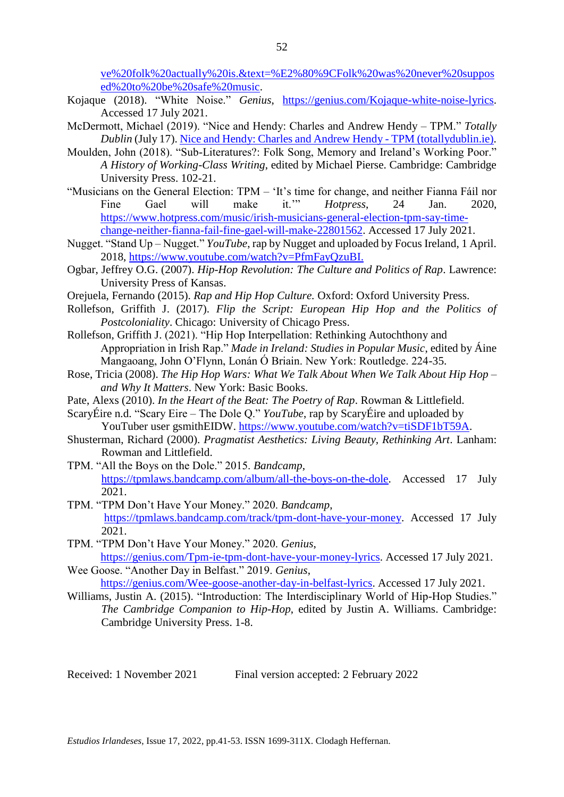[ve%20folk%20actually%20is.&text=%E2%80%9CFolk%20was%20never%20suppos](https://www.irishtimes.com/culture/music/the-mary-wallopers-folk-was-never-supposed-to-be-safe-1.4525357#:~:text=The%20Mary%20Wallopers%20have%20played,how%20subversive%20folk%20actually%20is.&text=%E2%80%9CFolk%20was%20never%20supposed%20to%20be%20safe%20music) [ed%20to%20be%20safe%20music.](https://www.irishtimes.com/culture/music/the-mary-wallopers-folk-was-never-supposed-to-be-safe-1.4525357#:~:text=The%20Mary%20Wallopers%20have%20played,how%20subversive%20folk%20actually%20is.&text=%E2%80%9CFolk%20was%20never%20supposed%20to%20be%20safe%20music)

- Kojaque (2018). "White Noise." *Genius*, [https://genius.com/Kojaque-white-noise-lyrics.](https://genius.com/Kojaque-white-noise-lyrics) Accessed 17 July 2021.
- McDermott, Michael (2019). "Nice and Hendy: Charles and Andrew Hendy TPM." *Totally Dublin* (July 17). [Nice and Hendy: Charles and Andrew Hendy -](https://www.totallydublin.ie/music/music-features/nice-and-hendy-charles-and-andrew-hendy-tpm/) TPM (totallydublin.ie).
- Moulden, John (2018). "Sub-Literatures?: Folk Song, Memory and Ireland's Working Poor." *A History of Working-Class Writing*, edited by Michael Pierse. Cambridge: Cambridge University Press. 102-21.
- "Musicians on the General Election: TPM 'It's time for change, and neither Fianna Fáil nor Fine Gael will make it.'" *Hotpress*, 24 Jan. 2020, [https://www.hotpress.com/music/irish-musicians-general-election-tpm-say-time](https://www.hotpress.com/music/irish-musicians-general-election-tpm-say-time-change-neither-fianna-fail-fine-gael-will-make-22801562)[change-neither-fianna-fail-fine-gael-will-make-22801562.](https://www.hotpress.com/music/irish-musicians-general-election-tpm-say-time-change-neither-fianna-fail-fine-gael-will-make-22801562) Accessed 17 July 2021.
- Nugget. "Stand Up Nugget." *YouTube*, rap by Nugget and uploaded by Focus Ireland, 1 April. 2018, [https://www.youtube.com/watch?v=PfmFayQzuBI.](https://www.youtube.com/watch?v=PfmFayQzuBI)
- Ogbar, Jeffrey O.G. (2007). *Hip-Hop Revolution: The Culture and Politics of Rap*. Lawrence: University Press of Kansas.
- Orejuela, Fernando (2015). *Rap and Hip Hop Culture.* Oxford: Oxford University Press.
- Rollefson, Griffith J. (2017). *Flip the Script: European Hip Hop and the Politics of Postcoloniality*. Chicago: University of Chicago Press.
- Rollefson, Griffith J. (2021). "Hip Hop Interpellation: Rethinking Autochthony and Appropriation in Irish Rap." *Made in Ireland: Studies in Popular Music*, edited by Áine Mangaoang, John O'Flynn, Lonán Ó Briain. New York: Routledge. 224-35.
- Rose, Tricia (2008). *The Hip Hop Wars: What We Talk About When We Talk About Hip Hop – and Why It Matters*. New York: Basic Books.
- Pate, Alexs (2010). *In the Heart of the Beat: The Poetry of Rap*. Rowman & Littlefield.
- ScaryÉire n.d. "Scary Eire The Dole Q." *YouTube*, rap by ScaryÉire and uploaded by
	- YouTuber user gsmithEIDW. [https://www.youtube.com/watch?v=tiSDF1bT59A.](https://www.youtube.com/watch?v=tiSDF1bT59A)
- Shusterman, Richard (2000). *Pragmatist Aesthetics: Living Beauty, Rethinking Art*. Lanham: Rowman and Littlefield.
- TPM. "All the Boys on the Dole." 2015. *Bandcamp*, [https://tpmlaws.bandcamp.com/album/all-the-boys-on-the-dole.](https://tpmlaws.bandcamp.com/album/all-the-boys-on-the-dole) Accessed 17 July 2021.

TPM. "TPM Don't Have Your Money." 2020. *Bandcamp*, [https://tpmlaws.bandcamp.com/track/tpm-dont-have-your-money.](https://tpmlaws.bandcamp.com/track/tpm-dont-have-your-money) Accessed 17 July 2021.

- TPM. "TPM Don't Have Your Money." 2020. *Genius*, [https://genius.com/Tpm-ie-tpm-dont-have-your-money-lyrics.](https://genius.com/Tpm-ie-tpm-dont-have-your-money-lyrics) Accessed 17 July 2021.
- Wee Goose. "Another Day in Belfast." 2019. *Genius*, [https://genius.com/Wee-goose-another-day-in-belfast-lyrics.](https://genius.com/Wee-goose-another-day-in-belfast-lyrics) Accessed 17 July 2021.
- Williams, Justin A. (2015). "Introduction: The Interdisciplinary World of Hip-Hop Studies." *The Cambridge Companion to Hip-Hop*, edited by Justin A. Williams. Cambridge: Cambridge University Press. 1-8.

Received: 1 November 2021 Final version accepted: 2 February 2022

*Estudios Irlandeses*, Issue 17, 2022, pp.41-53. ISSN 1699-311X. Clodagh Heffernan.